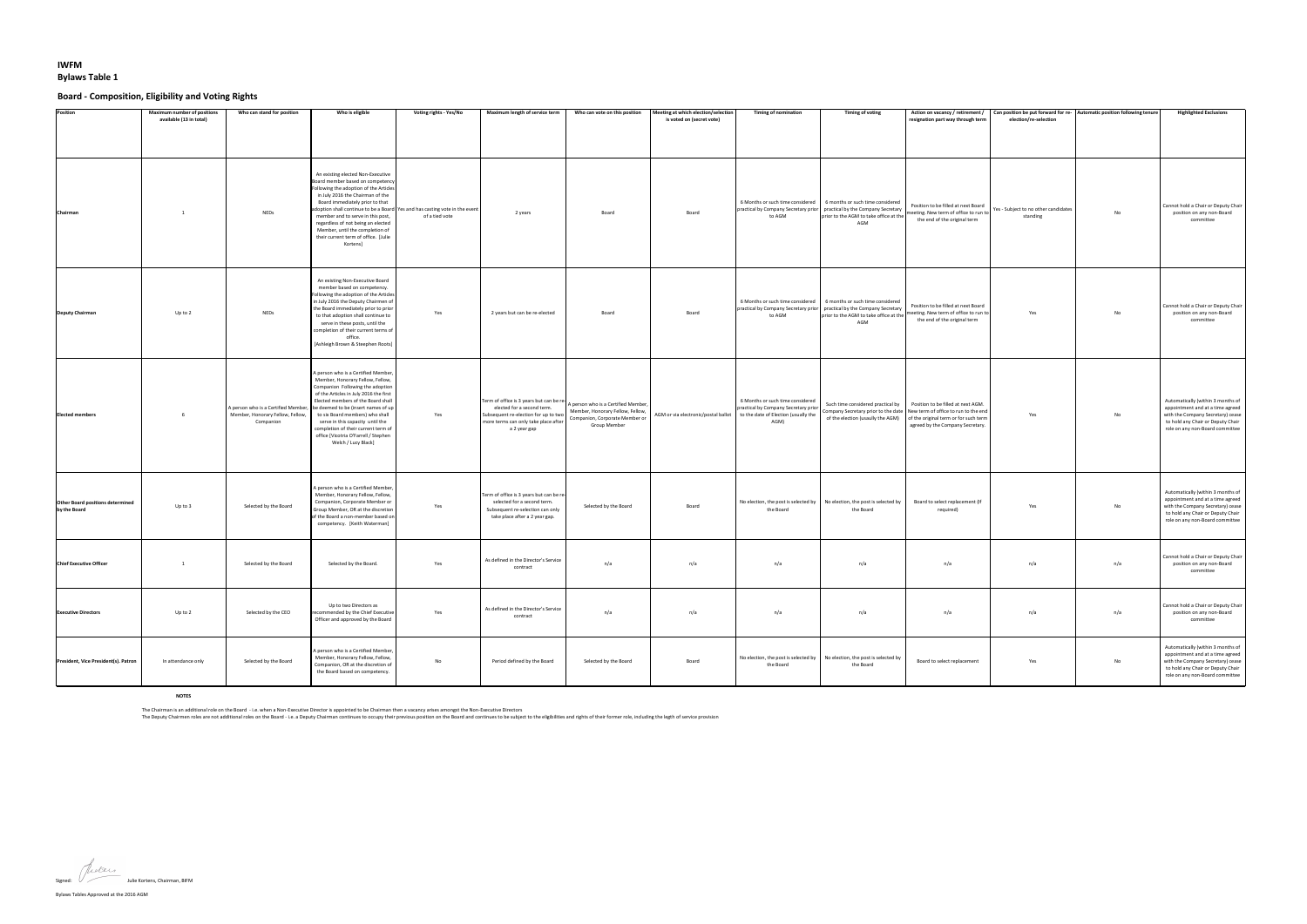Bylaws Tables Approved at the 2016 AGM

## **IWFM Bylaws Table 1**

## **Board - Composition, Eligibility and Voting Rights**

The Chairman is an additional role on the Board - i.e. when a Non-Executive Director is appointed to be Chairman then a vacancy arises amongst the Non-Executive Directors The Deputy Chairmen roles are not additional roles on the Board - i.e. a Deputy Chairman continues to occupy their previous position on the Board and continues to be subject to the eligibilities and rights of their former

Signed:  $\sqrt{ }$  Julie Kortens, Chairman, BIFM

| <b>Position</b>                                         | <b>Maximum number of positions</b><br>available (13 in total) | Who can stand for position                    | Who is eligible                                                                                                                                                                                                                                                                                                                                                                                                                                               | Voting rights - Yes/No | <b>Maximum length of service term</b>                                                                                                                                                                                                            | Who can vote on this position                                                             | Meeting at which election/selection<br>is voted on (secret vote) | <b>Timing of nomination</b>              | <b>Timing of voting</b>                                                                                                                                                                                                 | resignation part way through term                                                                                                                   | Action on vacancy / retirement / $\vert$ Can position be put forward for re- Automatic position following tenure<br>election/re-selection |           | <b>Highlighted Exclusions</b>                                                                                                                                                      |
|---------------------------------------------------------|---------------------------------------------------------------|-----------------------------------------------|---------------------------------------------------------------------------------------------------------------------------------------------------------------------------------------------------------------------------------------------------------------------------------------------------------------------------------------------------------------------------------------------------------------------------------------------------------------|------------------------|--------------------------------------------------------------------------------------------------------------------------------------------------------------------------------------------------------------------------------------------------|-------------------------------------------------------------------------------------------|------------------------------------------------------------------|------------------------------------------|-------------------------------------------------------------------------------------------------------------------------------------------------------------------------------------------------------------------------|-----------------------------------------------------------------------------------------------------------------------------------------------------|-------------------------------------------------------------------------------------------------------------------------------------------|-----------|------------------------------------------------------------------------------------------------------------------------------------------------------------------------------------|
| Chairman                                                |                                                               | <b>NEDs</b>                                   | An existing elected Non-Executive<br>Board member based on competency<br>Following the adoption of the Articles<br>in July 2016 the Chairman of the<br>Board immediately prior to that<br>adoption shall continue to be a Board Yes and has casting vote in the event<br>member and to serve in this post,<br>regardless of not being an elected<br>Member, until the completion of<br>their current term of office. [Julie<br>Kortens]                       | of a tied vote         | 2 years                                                                                                                                                                                                                                          | <b>Board</b>                                                                              | Board                                                            | to AGM                                   | 6 Months or such time considered   6 months or such time considered<br>practical by Company Secretary prior   practical by the Company Secretary<br>prior to the AGM to take office at the'<br>AGM                      | the end of the original term                                                                                                                        | I meeting. New term of office to run to $\vert$ Yes - Subject to no other candidates $\vert$<br>standing                                  | No        | Cannot hold a Chair or Deputy Chair<br>position on any non-Board<br>committee                                                                                                      |
| <b>Deputy Chairman</b>                                  | Up to 2                                                       | <b>NEDs</b>                                   | An existing Non-Executive Board<br>member based on competency.<br>Following the adoption of the Articles<br>in July 2016 the Deputy Chairmen of<br>the Board immediately prior to prior<br>to that adoption shall continue to<br>serve in these posts, until the<br>completion of their current terms of<br>office.<br>[Ashleigh Brown & Steephen Roots]                                                                                                      | Yes                    | 2 years but can be re-elected                                                                                                                                                                                                                    | Board                                                                                     | Board                                                            | to AGM                                   | 6 Months or such time considered   6 months or such time considered<br>$\vert$ practical by Company Secretary prior $\vert$ practical by the Company Secretary $\vert$<br>prior to the AGM to take office at the<br>AGM | Position to be filled at next Board<br>meeting. New term of office to run to<br>the end of the original term                                        | Yes                                                                                                                                       | No        | Cannot hold a Chair or Deputy Chair<br>position on any non-Board<br>committee                                                                                                      |
| <b>Elected members</b>                                  |                                                               | Member, Honorary Fellow, Fellow,<br>Companion | A person who is a Certified Member,<br>Member, Honorary Fellow, Fellow,<br>Companion Following the adoption<br>of the Articles in July 2016 the first<br>Elected members of the Board shall<br>A person who is a Certified Member,   be deemed to be (insert names of up $\vert$<br>to six Board members) who shall<br>serve in this capacity until the<br>completion of their current term of<br>office [Vicotria O'Farrell / Stephen<br>Welch / Lucy Black] | Yes                    | Term of office is 3 years but can be re- $\left  A \right $ A person who is a Certified Member, $\left  A \right $<br>elected for a second term.<br>Subsequent re-election for up to two<br>more terms can only take place after<br>a 2 year gap | Member, Honorary Fellow, Fellow,<br>Companion, Corporate Member or<br><b>Group Member</b> | AGM or via electronic/postal ballot                              | 6 Months or such time considered<br>AGM) | practical by Company Secretary prior   Company Secretary prior to the date   New term of office to run to the end<br>of the election (usaully the AGM)                                                                  | Such time considered practical by   Position to be filled at next AGM.<br>of the original term or for such term<br>agreed by the Company Secretary. | Yes                                                                                                                                       | <b>No</b> | Automatically (within 3 months of<br>appointment and at a time agreed<br>with the Company Secretary) cease<br>to hold any Chair or Deputy Chair<br>role on any non-Board committee |
| <b>Other Board positions determined</b><br>by the Board | Up to 3                                                       | Selected by the Board                         | A person who is a Certified Member,<br>Member, Honorary Fellow, Fellow,<br>Companion, Corporate Member or<br>Group Member, OR at the discretion<br>of the Board a non-member based on<br>competency. [Keith Waterman]                                                                                                                                                                                                                                         | Yes                    | Term of office is 3 years but can be re-<br>selected for a second term.<br>Subsequent re-selection can only<br>take place after a 2 year gap.                                                                                                    | Selected by the Board                                                                     | Board                                                            | the Board                                | No election, the post is selected by $\parallel$ No election, the post is selected by<br>the Board                                                                                                                      | Board to select replacement (If<br>required)                                                                                                        | Yes                                                                                                                                       | No        | Automatically (within 3 months of<br>appointment and at a time agreed<br>with the Company Secretary) cease<br>to hold any Chair or Deputy Chair<br>role on any non-Board committee |
| <b>Chief Executive Officer</b>                          |                                                               | Selected by the Board                         | Selected by the Board.                                                                                                                                                                                                                                                                                                                                                                                                                                        | Yes                    | As defined in the Director's Service<br>contract                                                                                                                                                                                                 | n/a                                                                                       | n/a                                                              | n/a                                      | n/a                                                                                                                                                                                                                     | n/a                                                                                                                                                 | n/a                                                                                                                                       | n/a       | Cannot hold a Chair or Deputy Chair<br>position on any non-Board<br>committee                                                                                                      |
| <b>Executive Directors</b>                              | Up to 2                                                       | Selected by the CEO                           | Up to two Directors as<br>recommended by the Chief Executive<br>Officer and approved by the Board                                                                                                                                                                                                                                                                                                                                                             | Yes                    | As defined in the Director's Service<br>contract                                                                                                                                                                                                 | n/a                                                                                       | n/a                                                              | n/a                                      | n/a                                                                                                                                                                                                                     | n/a                                                                                                                                                 | n/a                                                                                                                                       | n/a       | Cannot hold a Chair or Deputy Chair<br>position on any non-Board<br>committee                                                                                                      |
| President, Vice President(s). Patron                    | In attendance only                                            | Selected by the Board                         | A person who is a Certified Member,<br>Member, Honorary Fellow, Fellow,<br>Companion, OR at the discretion of<br>the Board based on competency.                                                                                                                                                                                                                                                                                                               | No                     | Period defined by the Board                                                                                                                                                                                                                      | Selected by the Board                                                                     | Board                                                            | the Board                                | No election, the post is selected by $\parallel$ No election, the post is selected by<br>the Board                                                                                                                      | Board to select replacement                                                                                                                         | Yes                                                                                                                                       | No        | Automatically (within 3 months of<br>appointment and at a time agreed<br>with the Company Secretary) cease<br>to hold any Chair or Deputy Chair<br>role on any non-Board committee |

**NOTES**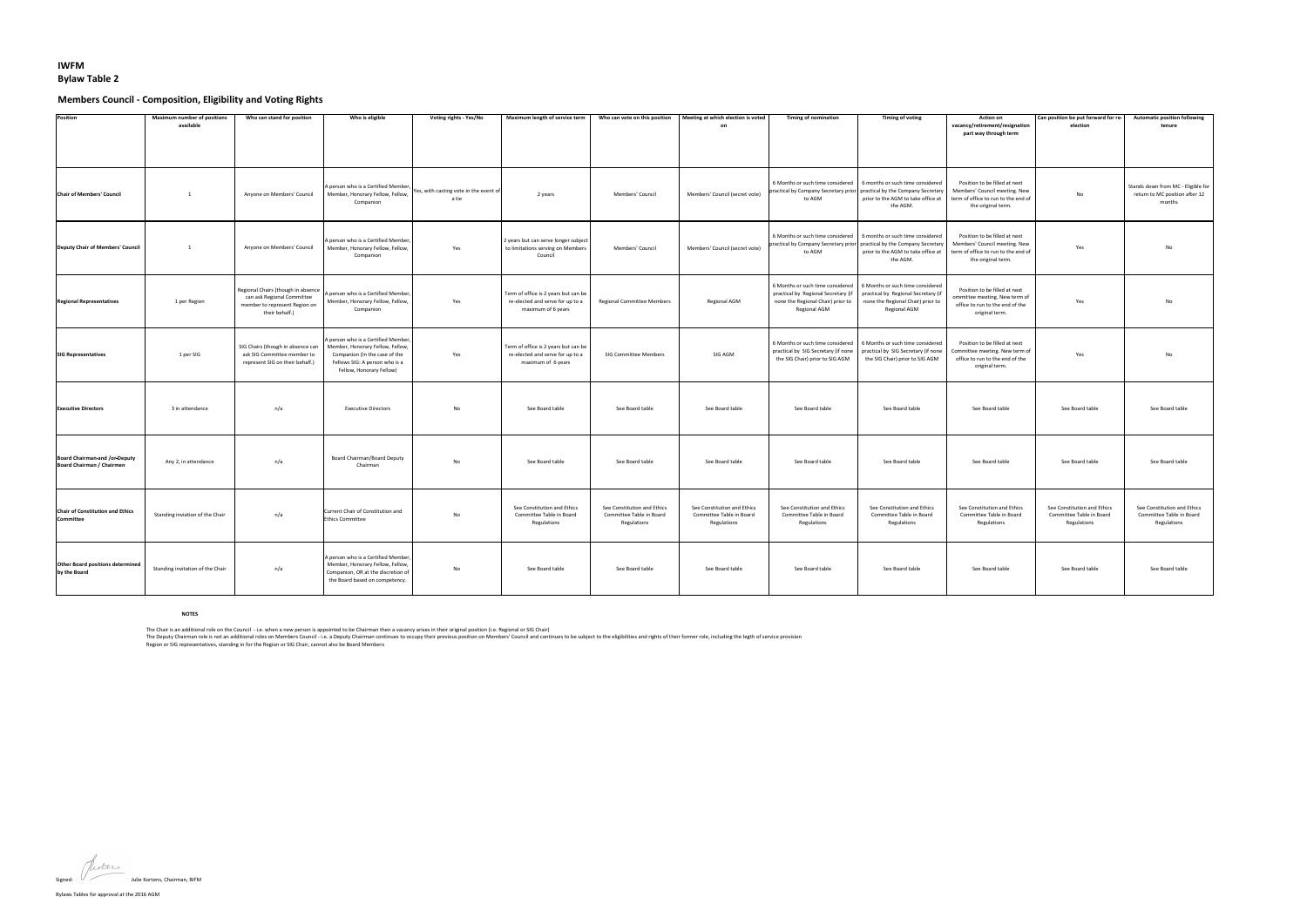

Bylaws Tables for approval at the 2016 AGM

## **IWFM Bylaw Table 2**

# **Members Council - Composition, Eligibility and Voting Rights**

| Position                                                                 | <b>Maximum number of positions</b><br>available | Who can stand for position                                                                                          | Who is eligible                                                                                                                                                        | <b>Voting rights - Yes/No</b>                   | <b>Maximum length of service term</b>                                                          | Who can vote on this position                                          | Meeting at which election is voted<br>- on                             | <b>Timing of nomination</b>                                                                                                         | <b>Timing of voting</b>                                                                                                                       | <b>Action on</b><br>vacancy/retirement/resignation<br>part way through term                                                 | Can position be put forward for re-<br>election                        | <b>Automatic position following</b><br>tenure                                  |
|--------------------------------------------------------------------------|-------------------------------------------------|---------------------------------------------------------------------------------------------------------------------|------------------------------------------------------------------------------------------------------------------------------------------------------------------------|-------------------------------------------------|------------------------------------------------------------------------------------------------|------------------------------------------------------------------------|------------------------------------------------------------------------|-------------------------------------------------------------------------------------------------------------------------------------|-----------------------------------------------------------------------------------------------------------------------------------------------|-----------------------------------------------------------------------------------------------------------------------------|------------------------------------------------------------------------|--------------------------------------------------------------------------------|
| <b>Chair of Members' Council</b>                                         |                                                 | Anyone on Members' Council                                                                                          | A person who is a Certified Member,<br>Member, Honorary Fellow, Fellow,<br>Companion                                                                                   | Yes, with casting vote in the event of<br>a tie | 2 years                                                                                        | Members' Council                                                       | Members' Council (secret vote)                                         | 6 Months or such time considered<br>practical by Company Secretary prior practical by the Company Secretary<br>to AGM               | 6 months or such time considered<br>prior to the AGM to take office at<br>the AGM.                                                            | Position to be filled at next<br>Members' Council meeting. New<br>term of office to run to the end of<br>the original term. | No                                                                     | Stands down from MC - Eligible for<br>return to MC position after 12<br>months |
| Deputy Chair of Members' Council                                         |                                                 | Anyone on Members' Council                                                                                          | A person who is a Certified Member,<br>Member, Honorary Fellow, Fellow,<br>Companion                                                                                   | Yes                                             | 2 years but can serve longer subject<br>to limitations serving on Members<br>Council           | Members' Council                                                       | Members' Council (secret vote)                                         | 6 Months or such time considered<br>practical by Company Secretary prior practical by the Company Secretary<br>to AGM               | 6 months or such time considered<br>prior to the AGM to take office at<br>the AGM.                                                            | Position to be filled at next<br>Members' Council meeting. New<br>term of office to run to the end of<br>the original term. | Yes                                                                    | No                                                                             |
| <b>Regional Representatives</b>                                          | 1 per Region                                    | Regional Chairs (though in absence<br>can ask Regional Committee<br>member to represent Region on<br>their behalf.) | A person who is a Certified Member,<br>Member, Honorary Fellow, Fellow,<br>Companion                                                                                   | Yes                                             | Term of office is 2 years but can be<br>re-elected and serve for up to a<br>maximum of 6 years | <b>Regional Committee Members</b>                                      | <b>Regional AGM</b>                                                    | 6 Months or such time considered<br>practical by Regional Secretary (if<br>none the Regional Chair) prior to<br><b>Regional AGM</b> | 6 Months or such time considered<br>practical by Regional Secretary (if<br>none the Regional Chair) prior to<br><b>Regional AGM</b>           | Position to be filled at next<br>ommittee meeting. New term of<br>office to run to the end of the<br>original term.         | Yes                                                                    | No                                                                             |
| <b>SIG Representatives</b>                                               | 1 per SIG                                       | SIG Chairs (though in absence can<br>ask SIG Committee member to<br>represent SIG on their behalf.)                 | A person who is a Certified Member,<br>Member, Honorary Fellow, Fellow,<br>Companion (In the case of the<br>Fellows SIG: A person who is a<br>Fellow, Honorary Fellow) | Yes                                             | Term of office is 2 years but can be<br>re-elected and serve for up to a<br>maximum of 6 years | <b>SIG Committee Members</b>                                           | SIG AGM                                                                | practical by SIG Secretary (if none<br>the SIG Chair) prior to SIG AGM                                                              | 6 Months or such time considered   6 Months or such time considered<br>practical by SIG Secretary (if none<br>the SIG Chair) prior to SIG AGM | Position to be filled at next<br>Committee meeting. New term of<br>office to run to the end of the<br>original term.        | Yes                                                                    | No                                                                             |
| <b>Executive Directors</b>                                               | 3 in attendance                                 | n/a                                                                                                                 | <b>Executive Directors</b>                                                                                                                                             | No                                              | See Board table                                                                                | See Board table                                                        | See Board table                                                        | See Board table                                                                                                                     | See Board table                                                                                                                               | See Board table                                                                                                             | See Board table                                                        | See Board table                                                                |
| <b>Board Chairman-and /or-Deputy</b><br><b>Board Chairman / Chairmen</b> | Any 2, in attendance                            | n/a                                                                                                                 | <b>Board Chairman/Board Deputy</b><br>Chairman                                                                                                                         | No                                              | See Board table                                                                                | See Board table                                                        | See Board table                                                        | See Board table                                                                                                                     | See Board table                                                                                                                               | See Board table                                                                                                             | See Board table                                                        | See Board table                                                                |
| <b>Chair of Constitution and Ethics</b><br>Committee                     | Standing inviation of the Chair                 | n/a                                                                                                                 | Current Chair of Constitution and<br><b>Ethics Committee</b>                                                                                                           | No.                                             | See Constitution and Ethics<br>Committee Table in Board<br>Regulations                         | See Constitution and Ethics<br>Committee Table in Board<br>Regulations | See Constitution and Ethics<br>Committee Table in Board<br>Regulations | See Constitution and Ethics<br>Committee Table in Board<br>Regulations                                                              | See Constitution and Ethics<br>Committee Table in Board<br>Regulations                                                                        | See Constitution and Ethics<br>Committee Table in Board<br>Regulations                                                      | See Constitution and Ethics<br>Committee Table in Board<br>Regulations | See Constitution and Ethics<br>Committee Table in Board<br>Regulations         |
| <b>Other Board positions determined</b><br>by the Board                  | Standing invitation of the Chair                | n/a                                                                                                                 | A person who is a Certified Member,<br>Member, Honorary Fellow, Fellow,<br>Companion, OR at the discretion of<br>the Board based on competency.                        | No                                              | See Board table                                                                                | See Board table                                                        | See Board table                                                        | See Board table                                                                                                                     | See Board table                                                                                                                               | See Board table                                                                                                             | See Board table                                                        | See Board table                                                                |

#### **NOTES**

The Chair is an additional role on the Council - i.e. when a new person is appointed to be Chairman then a vacancy arises in their original position (i.e. Regional or SIG Chair) The Deputy Chairman role is not an additional roles on Members Council - i.e. a Deputy Chairman continues to occupy their previous position on Members' Council and continues to be subject to the eligibilities and rights of Region or SIG representatives, standing in for the Region or SIG Chair, cannot also be Board Members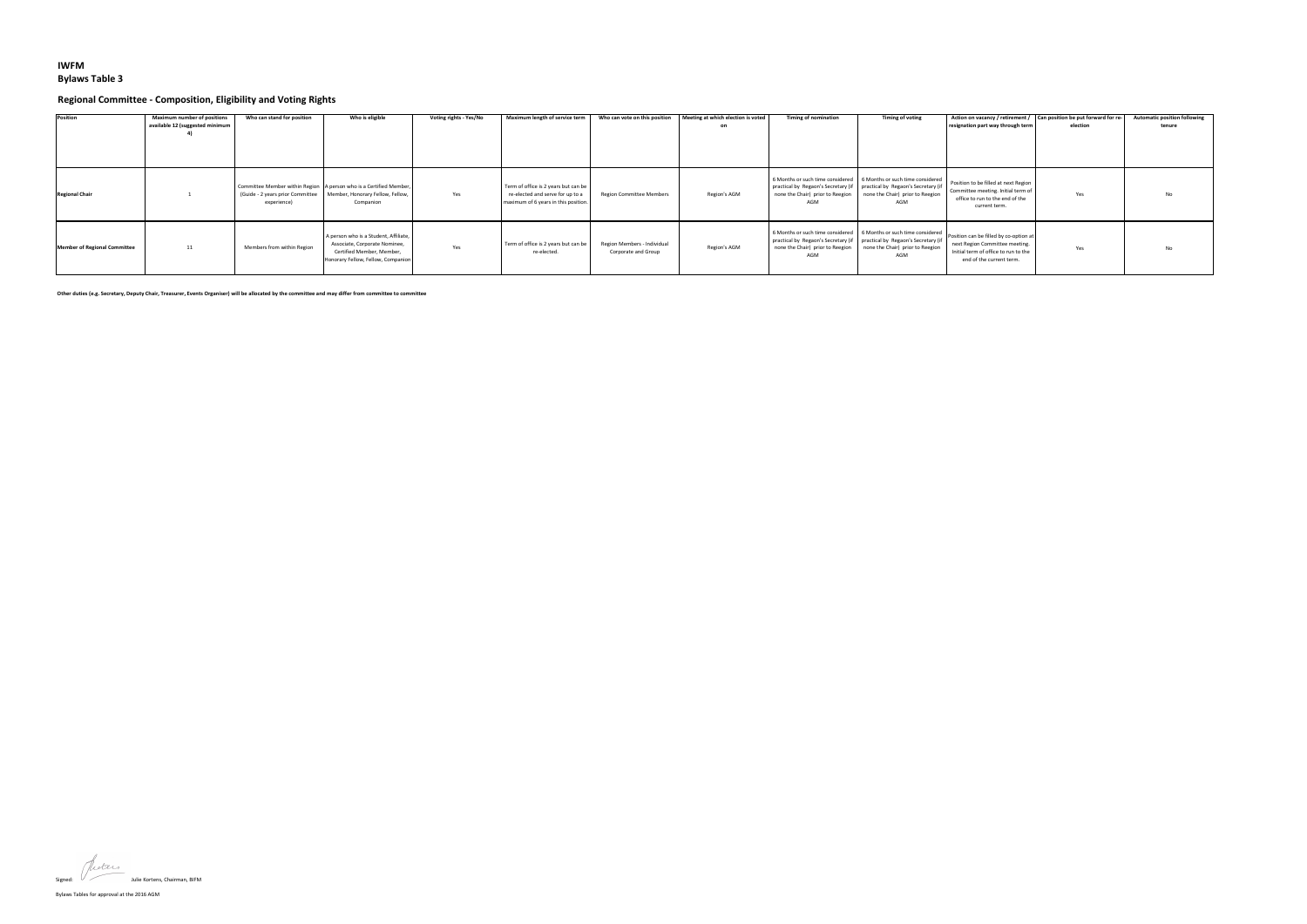## **IWFM Bylaws Table 3**

## **Regional Committee - Composition, Eligibility and Voting Rights**

| <b>Position</b>              | <b>Maximum number of positions</b><br>available 12 (suggested minimum | Who can stand for position | Who is eligible                                                                                                                                          | <b>Voting rights - Yes/No</b> | Maximum length of service term                                                                                   | Who can vote on this position                      | Meeting at which election is voted | <b>Timing of nomination</b>                                                                                          | <b>Timing of voting</b>                                                                                        | Action on vacancy / retirement / $\vert$ Can position be put forward for re-<br>resignation part way through term                            | election | <b>Automatic position following</b><br>tenure |
|------------------------------|-----------------------------------------------------------------------|----------------------------|----------------------------------------------------------------------------------------------------------------------------------------------------------|-------------------------------|------------------------------------------------------------------------------------------------------------------|----------------------------------------------------|------------------------------------|----------------------------------------------------------------------------------------------------------------------|----------------------------------------------------------------------------------------------------------------|----------------------------------------------------------------------------------------------------------------------------------------------|----------|-----------------------------------------------|
| <b>Regional Chair</b>        |                                                                       | experience)                | Committee Member within Region   A person who is a Certified Member,<br>(Guide - 2 years prior Committee   Member, Honorary Fellow, Fellow,<br>Companion | Yes                           | Term of office is 2 years but can be<br>re-elected and serve for up to a<br>maximum of 6 years in this position. | <b>Region Committee Members</b>                    | Region's AGM                       | practical by Regaon's Secretary (if   practical by Regaon's Secretary (if<br>none the Chair) prior to Reegion<br>AGM | 6 Months or such time considered   6 Months or such time considered<br>none the Chair) prior to Reegion<br>AGM | Position to be filled at next Region<br>Committee meeting. Initial term of<br>office to run to the end of the<br>current term.               | Yes      | No                                            |
| Member of Regional Committee | 11                                                                    | Members from within Region | A person who is a Student, Affiliate,<br>Associate, Corporate Nominee,<br>Certified Member, Member,<br>Honorary Fellow, Fellow, Companion                | Yes                           | Term of office is 2 years but can be<br>re-elected.                                                              | Region Members - Individual<br>Corporate and Group | Region's AGM                       | practical by Regaon's Secretary (if   practical by Regaon's Secretary (if<br>none the Chair) prior to Reegion<br>AGM | 6 Months or such time considered   6 Months or such time considered<br>none the Chair) prior to Reegion<br>AGM | Position can be filled by co-option at<br>next Region Committee meeting.<br>Initial term of office to run to the<br>end of the current term. | Yes      | <b>No</b>                                     |

**Other duties (e.g. Secretary, Deputy Chair, Treasurer, Events Organiser) will be allocated by the committee and may differ from committee to committee**

Signed:  $\sqrt{ }$  Julie Kortens, Chairman, BIFM